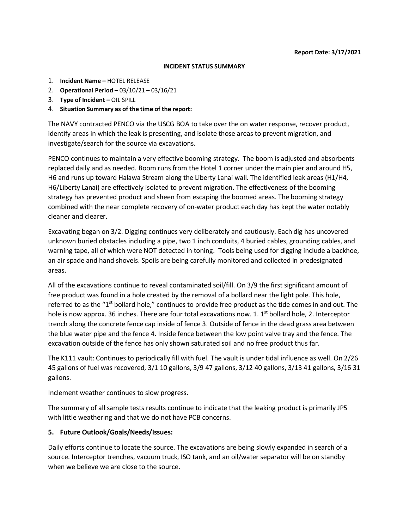#### **INCIDENT STATUS SUMMARY**

- 1. **Incident Name –** HOTEL RELEASE
- 2. **Operational Period –** 03/10/21 03/16/21
- 3. **Type of Incident –** OIL SPILL
- 4. **Situation Summary as of the time of the report:**

The NAVY contracted PENCO via the USCG BOA to take over the on water response, recover product, identify areas in which the leak is presenting, and isolate those areas to prevent migration, and investigate/search for the source via excavations.

PENCO continues to maintain a very effective booming strategy. The boom is adjusted and absorbents replaced daily and as needed. Boom runs from the Hotel 1 corner under the main pier and around H5, H6 and runs up toward Halawa Stream along the Liberty Lanai wall. The identified leak areas (H1/H4, H6/Liberty Lanai) are effectively isolated to prevent migration. The effectiveness of the booming strategy has prevented product and sheen from escaping the boomed areas. The booming strategy combined with the near complete recovery of on-water product each day has kept the water notably cleaner and clearer.

Excavating began on 3/2. Digging continues very deliberately and cautiously. Each dig has uncovered unknown buried obstacles including a pipe, two 1 inch conduits, 4 buried cables, grounding cables, and warning tape, all of which were NOT detected in toning. Tools being used for digging include a backhoe, an air spade and hand shovels. Spoils are being carefully monitored and collected in predesignated areas.

All of the excavations continue to reveal contaminated soil/fill. On 3/9 the first significant amount of free product was found in a hole created by the removal of a bollard near the light pole. This hole, referred to as the "1<sup>st</sup> bollard hole," continues to provide free product as the tide comes in and out. The hole is now approx. 36 inches. There are four total excavations now. 1.  $1<sup>st</sup>$  bollard hole, 2. Interceptor trench along the concrete fence cap inside of fence 3. Outside of fence in the dead grass area between the blue water pipe and the fence 4. Inside fence between the low point valve tray and the fence. The excavation outside of the fence has only shown saturated soil and no free product thus far.

The K111 vault: Continues to periodically fill with fuel. The vault is under tidal influence as well. On 2/26 45 gallons of fuel was recovered, 3/1 10 gallons, 3/9 47 gallons, 3/12 40 gallons, 3/13 41 gallons, 3/16 31 gallons.

Inclement weather continues to slow progress.

The summary of all sample tests results continue to indicate that the leaking product is primarily JP5 with little weathering and that we do not have PCB concerns.

### **5. Future Outlook/Goals/Needs/Issues:**

Daily efforts continue to locate the source. The excavations are being slowly expanded in search of a source. Interceptor trenches, vacuum truck, ISO tank, and an oil/water separator will be on standby when we believe we are close to the source.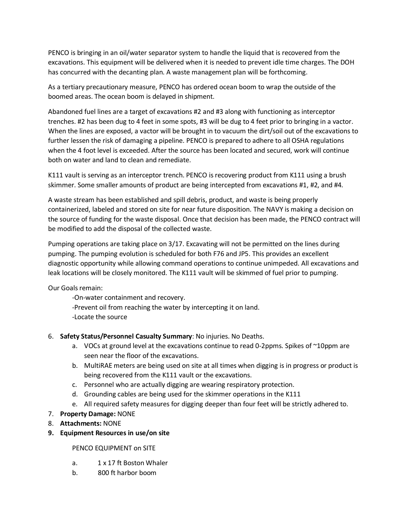PENCO is bringing in an oil/water separator system to handle the liquid that is recovered from the excavations. This equipment will be delivered when it is needed to prevent idle time charges. The DOH has concurred with the decanting plan. A waste management plan will be forthcoming.

As a tertiary precautionary measure, PENCO has ordered ocean boom to wrap the outside of the boomed areas. The ocean boom is delayed in shipment.

Abandoned fuel lines are a target of excavations #2 and #3 along with functioning as interceptor trenches. #2 has been dug to 4 feet in some spots, #3 will be dug to 4 feet prior to bringing in a vactor. When the lines are exposed, a vactor will be brought in to vacuum the dirt/soil out of the excavations to further lessen the risk of damaging a pipeline. PENCO is prepared to adhere to all OSHA regulations when the 4 foot level is exceeded. After the source has been located and secured, work will continue both on water and land to clean and remediate.

K111 vault is serving as an interceptor trench. PENCO is recovering product from K111 using a brush skimmer. Some smaller amounts of product are being intercepted from excavations #1, #2, and #4.

A waste stream has been established and spill debris, product, and waste is being properly containerized, labeled and stored on site for near future disposition. The NAVY is making a decision on the source of funding for the waste disposal. Once that decision has been made, the PENCO contract will be modified to add the disposal of the collected waste.

Pumping operations are taking place on 3/17. Excavating will not be permitted on the lines during pumping. The pumping evolution is scheduled for both F76 and JP5. This provides an excellent diagnostic opportunity while allowing command operations to continue unimpeded. All excavations and leak locations will be closely monitored. The K111 vault will be skimmed of fuel prior to pumping.

Our Goals remain:

-On-water containment and recovery.

- -Prevent oil from reaching the water by intercepting it on land.
- -Locate the source
- 6. **Safety Status/Personnel Casualty Summary**: No injuries. No Deaths.
	- a. VOCs at ground level at the excavations continue to read 0-2ppms. Spikes of ~10ppm are seen near the floor of the excavations.
	- b. MultiRAE meters are being used on site at all times when digging is in progress or product is being recovered from the K111 vault or the excavations.
	- c. Personnel who are actually digging are wearing respiratory protection.
	- d. Grounding cables are being used for the skimmer operations in the K111
	- e. All required safety measures for digging deeper than four feet will be strictly adhered to.
- 7. **Property Damage:** NONE
- 8. **Attachments:** NONE
- **9. Equipment Resources in use/on site**

### PENCO EQUIPMENT on SITE

- a. 1 x 17 ft Boston Whaler
- b. 800 ft harbor boom